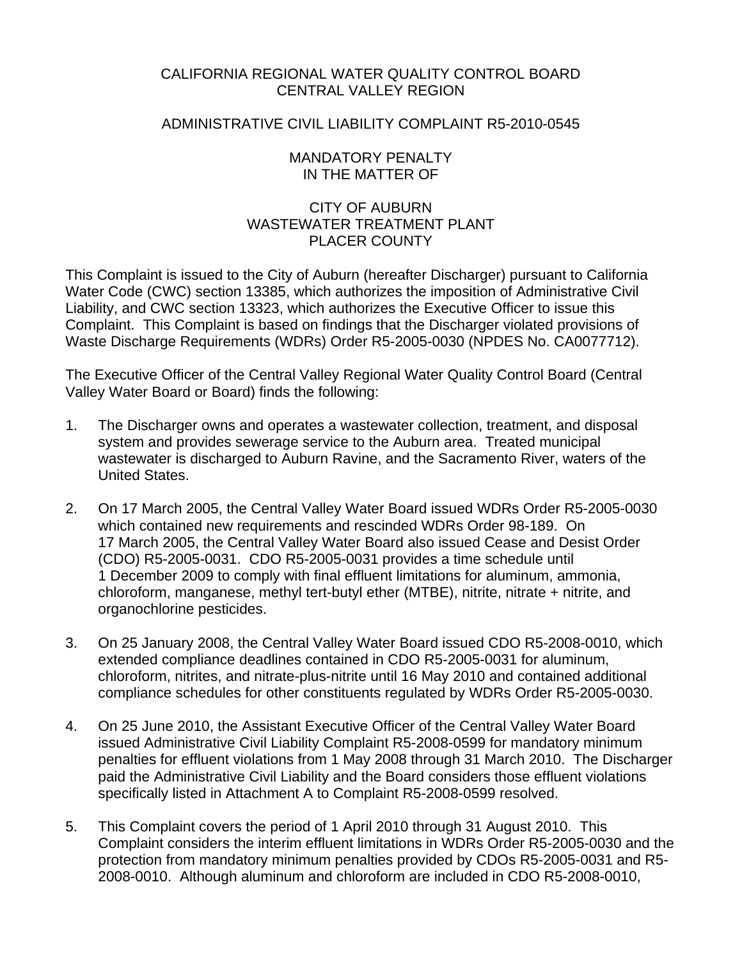## CALIFORNIA REGIONAL WATER QUALITY CONTROL BOARD CENTRAL VALLEY REGION

## ADMINISTRATIVE CIVIL LIABILITY COMPLAINT R5-2010-0545

## MANDATORY PENALTY IN THE MATTER OF

## CITY OF AUBURN WASTEWATER TREATMENT PLANT PLACER COUNTY

This Complaint is issued to the City of Auburn (hereafter Discharger) pursuant to California Water Code (CWC) section 13385, which authorizes the imposition of Administrative Civil Liability, and CWC section 13323, which authorizes the Executive Officer to issue this Complaint. This Complaint is based on findings that the Discharger violated provisions of Waste Discharge Requirements (WDRs) Order R5-2005-0030 (NPDES No. CA0077712).

The Executive Officer of the Central Valley Regional Water Quality Control Board (Central Valley Water Board or Board) finds the following:

- 1. The Discharger owns and operates a wastewater collection, treatment, and disposal system and provides sewerage service to the Auburn area. Treated municipal wastewater is discharged to Auburn Ravine, and the Sacramento River, waters of the United States.
- 2. On 17 March 2005, the Central Valley Water Board issued WDRs Order R5-2005-0030 which contained new requirements and rescinded WDRs Order 98-189. On 17 March 2005, the Central Valley Water Board also issued Cease and Desist Order (CDO) R5-2005-0031. CDO R5-2005-0031 provides a time schedule until 1 December 2009 to comply with final effluent limitations for aluminum, ammonia, chloroform, manganese, methyl tert-butyl ether (MTBE), nitrite, nitrate + nitrite, and organochlorine pesticides.
- 3. On 25 January 2008, the Central Valley Water Board issued CDO R5-2008-0010, which extended compliance deadlines contained in CDO R5-2005-0031 for aluminum, chloroform, nitrites, and nitrate-plus-nitrite until 16 May 2010 and contained additional compliance schedules for other constituents regulated by WDRs Order R5-2005-0030.
- 4. On 25 June 2010, the Assistant Executive Officer of the Central Valley Water Board issued Administrative Civil Liability Complaint R5-2008-0599 for mandatory minimum penalties for effluent violations from 1 May 2008 through 31 March 2010. The Discharger paid the Administrative Civil Liability and the Board considers those effluent violations specifically listed in Attachment A to Complaint R5-2008-0599 resolved.
- 5. This Complaint covers the period of 1 April 2010 through 31 August 2010. This Complaint considers the interim effluent limitations in WDRs Order R5-2005-0030 and the protection from mandatory minimum penalties provided by CDOs R5-2005-0031 and R5- 2008-0010. Although aluminum and chloroform are included in CDO R5-2008-0010,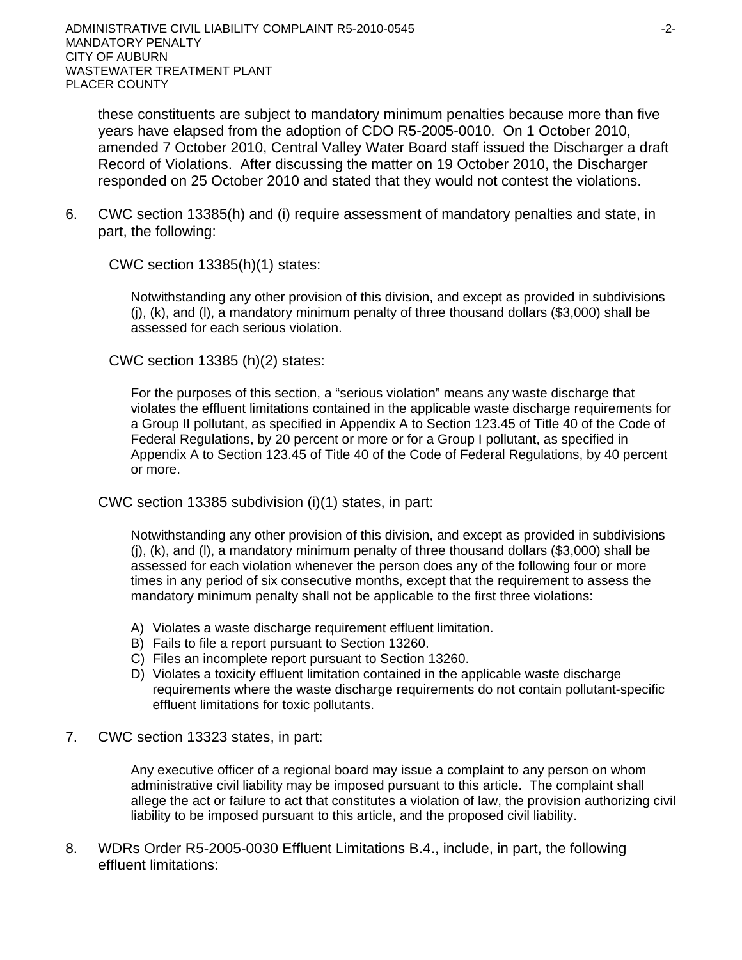these constituents are subject to mandatory minimum penalties because more than five years have elapsed from the adoption of CDO R5-2005-0010. On 1 October 2010, amended 7 October 2010, Central Valley Water Board staff issued the Discharger a draft Record of Violations. After discussing the matter on 19 October 2010, the Discharger responded on 25 October 2010 and stated that they would not contest the violations.

6. CWC section 13385(h) and (i) require assessment of mandatory penalties and state, in part, the following:

CWC section 13385(h)(1) states:

Notwithstanding any other provision of this division, and except as provided in subdivisions  $(i)$ ,  $(k)$ , and  $(l)$ , a mandatory minimum penalty of three thousand dollars (\$3,000) shall be assessed for each serious violation.

CWC section 13385 (h)(2) states:

For the purposes of this section, a "serious violation" means any waste discharge that violates the effluent limitations contained in the applicable waste discharge requirements for a Group II pollutant, as specified in Appendix A to Section 123.45 of Title 40 of the Code of Federal Regulations, by 20 percent or more or for a Group I pollutant, as specified in Appendix A to Section 123.45 of Title 40 of the Code of Federal Regulations, by 40 percent or more.

CWC section 13385 subdivision (i)(1) states, in part:

Notwithstanding any other provision of this division, and except as provided in subdivisions (j), (k), and (l), a mandatory minimum penalty of three thousand dollars (\$3,000) shall be assessed for each violation whenever the person does any of the following four or more times in any period of six consecutive months, except that the requirement to assess the mandatory minimum penalty shall not be applicable to the first three violations:

- A) Violates a waste discharge requirement effluent limitation.
- B) Fails to file a report pursuant to Section 13260.
- C) Files an incomplete report pursuant to Section 13260.
- D) Violates a toxicity effluent limitation contained in the applicable waste discharge requirements where the waste discharge requirements do not contain pollutant-specific effluent limitations for toxic pollutants.
- 7. CWC section 13323 states, in part:

Any executive officer of a regional board may issue a complaint to any person on whom administrative civil liability may be imposed pursuant to this article. The complaint shall allege the act or failure to act that constitutes a violation of law, the provision authorizing civil liability to be imposed pursuant to this article, and the proposed civil liability.

8. WDRs Order R5-2005-0030 Effluent Limitations B.4., include, in part, the following effluent limitations: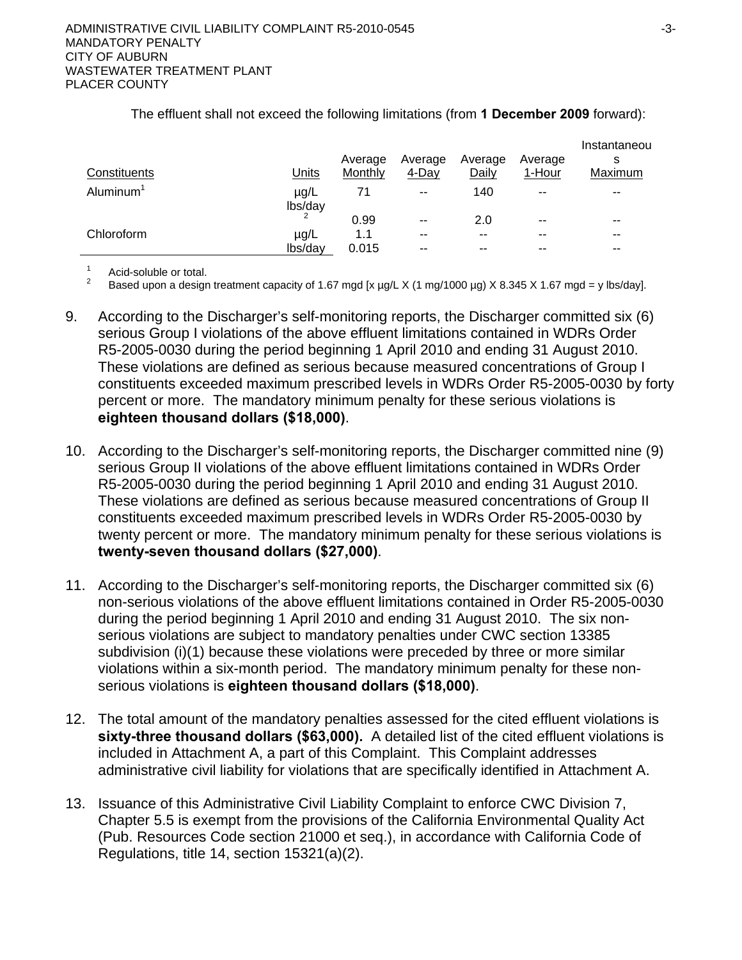|                       |                      |         |               |         |         | Instantaneou |
|-----------------------|----------------------|---------|---------------|---------|---------|--------------|
|                       |                      | Average | Average       | Average | Average | s            |
| Constituents          | Units                | Monthly | 4-Day         | Daily   | 1-Hour  | Maximum      |
| Aluminum <sup>1</sup> | $\mu$ g/L<br>lbs/day | 71      | $\sim$ $\sim$ | 140     | $- -$   | $- -$        |
|                       |                      | 0.99    | $- -$         | 2.0     | $- -$   | $- -$        |
| Chloroform            | µg/L                 | 1.1     | $- -$         | $- -$   | --      | --           |
|                       | lbs/day              | 0.015   | --            | --      | --      | $- -$        |

### The effluent shall not exceed the following limitations (from **1 December 2009** forward):

1 Acid-soluble or total.

2 Based upon a design treatment capacity of 1.67 mgd [x µg/L X (1 mg/1000 µg) X 8.345 X 1.67 mgd = y lbs/day].

- 9. According to the Discharger's self-monitoring reports, the Discharger committed six (6) serious Group I violations of the above effluent limitations contained in WDRs Order R5-2005-0030 during the period beginning 1 April 2010 and ending 31 August 2010. These violations are defined as serious because measured concentrations of Group I constituents exceeded maximum prescribed levels in WDRs Order R5-2005-0030 by forty percent or more. The mandatory minimum penalty for these serious violations is **eighteen thousand dollars (\$18,000)**.
- 10. According to the Discharger's self-monitoring reports, the Discharger committed nine (9) serious Group II violations of the above effluent limitations contained in WDRs Order R5-2005-0030 during the period beginning 1 April 2010 and ending 31 August 2010. These violations are defined as serious because measured concentrations of Group II constituents exceeded maximum prescribed levels in WDRs Order R5-2005-0030 by twenty percent or more. The mandatory minimum penalty for these serious violations is **twenty-seven thousand dollars (\$27,000)**.
- 11. According to the Discharger's self-monitoring reports, the Discharger committed six (6) non-serious violations of the above effluent limitations contained in Order R5-2005-0030 during the period beginning 1 April 2010 and ending 31 August 2010. The six nonserious violations are subject to mandatory penalties under CWC section 13385 subdivision (i)(1) because these violations were preceded by three or more similar violations within a six-month period. The mandatory minimum penalty for these nonserious violations is **eighteen thousand dollars (\$18,000)**.
- 12. The total amount of the mandatory penalties assessed for the cited effluent violations is **sixty-three thousand dollars (\$63,000).** A detailed list of the cited effluent violations is included in Attachment A, a part of this Complaint. This Complaint addresses administrative civil liability for violations that are specifically identified in Attachment A.
- 13. Issuance of this Administrative Civil Liability Complaint to enforce CWC Division 7, Chapter 5.5 is exempt from the provisions of the California Environmental Quality Act (Pub. Resources Code section 21000 et seq.), in accordance with California Code of Regulations, title 14, section 15321(a)(2).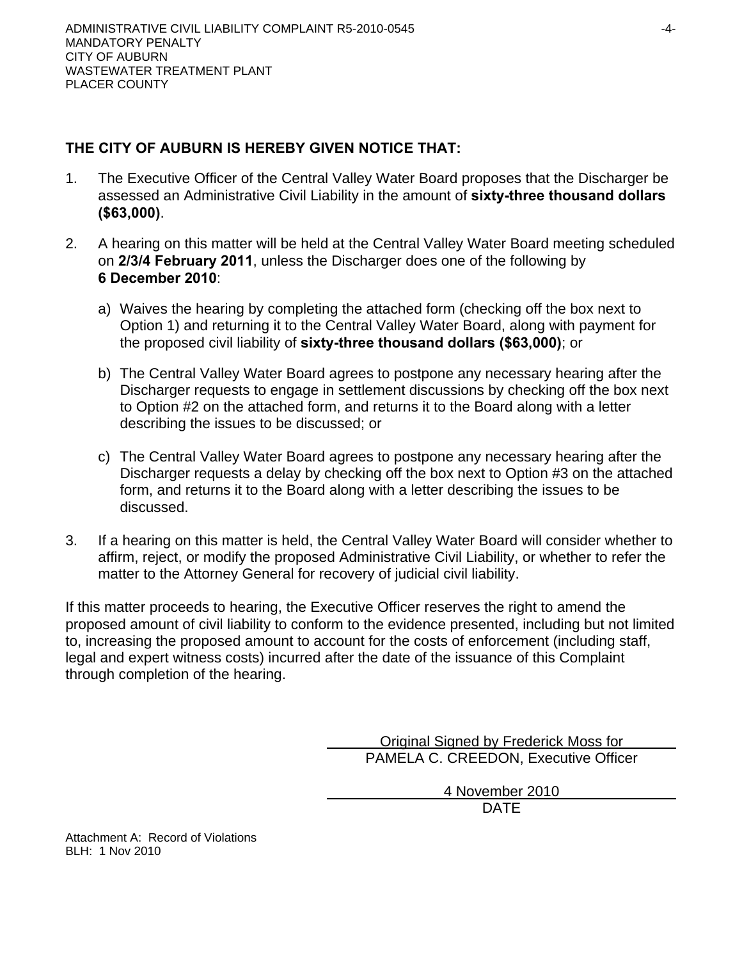# **THE CITY OF AUBURN IS HEREBY GIVEN NOTICE THAT:**

- 1. The Executive Officer of the Central Valley Water Board proposes that the Discharger be assessed an Administrative Civil Liability in the amount of **sixty-three thousand dollars (\$63,000)**.
- 2. A hearing on this matter will be held at the Central Valley Water Board meeting scheduled on **2/3/4 February 2011**, unless the Discharger does one of the following by **6 December 2010**:
	- a) Waives the hearing by completing the attached form (checking off the box next to Option 1) and returning it to the Central Valley Water Board, along with payment for the proposed civil liability of **sixty-three thousand dollars (\$63,000)**; or
	- b) The Central Valley Water Board agrees to postpone any necessary hearing after the Discharger requests to engage in settlement discussions by checking off the box next to Option #2 on the attached form, and returns it to the Board along with a letter describing the issues to be discussed; or
	- c) The Central Valley Water Board agrees to postpone any necessary hearing after the Discharger requests a delay by checking off the box next to Option #3 on the attached form, and returns it to the Board along with a letter describing the issues to be discussed.
- 3. If a hearing on this matter is held, the Central Valley Water Board will consider whether to affirm, reject, or modify the proposed Administrative Civil Liability, or whether to refer the matter to the Attorney General for recovery of judicial civil liability.

If this matter proceeds to hearing, the Executive Officer reserves the right to amend the proposed amount of civil liability to conform to the evidence presented, including but not limited to, increasing the proposed amount to account for the costs of enforcement (including staff, legal and expert witness costs) incurred after the date of the issuance of this Complaint through completion of the hearing.

> Original Signed by Frederick Moss for PAMELA C. CREEDON, Executive Officer

> > 4 November 2010

DATE

Attachment A: Record of Violations BLH: 1 Nov 2010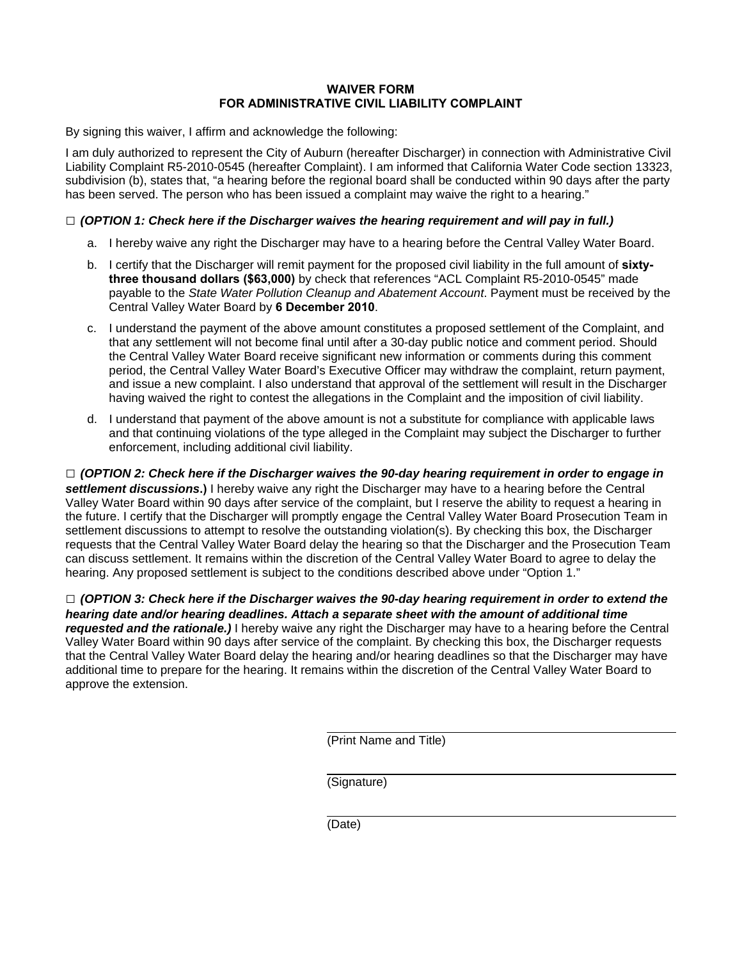### **WAIVER FORM FOR ADMINISTRATIVE CIVIL LIABILITY COMPLAINT**

By signing this waiver, I affirm and acknowledge the following:

I am duly authorized to represent the City of Auburn (hereafter Discharger) in connection with Administrative Civil Liability Complaint R5-2010-0545 (hereafter Complaint). I am informed that California Water Code section 13323, subdivision (b), states that, "a hearing before the regional board shall be conducted within 90 days after the party has been served. The person who has been issued a complaint may waive the right to a hearing."

### **□** *(OPTION 1: Check here if the Discharger waives the hearing requirement and will pay in full.)*

- a. I hereby waive any right the Discharger may have to a hearing before the Central Valley Water Board.
- b. I certify that the Discharger will remit payment for the proposed civil liability in the full amount of **sixtythree thousand dollars (\$63,000)** by check that references "ACL Complaint R5-2010-0545" made payable to the *State Water Pollution Cleanup and Abatement Account*. Payment must be received by the Central Valley Water Board by **6 December 2010**.
- c. I understand the payment of the above amount constitutes a proposed settlement of the Complaint, and that any settlement will not become final until after a 30-day public notice and comment period. Should the Central Valley Water Board receive significant new information or comments during this comment period, the Central Valley Water Board's Executive Officer may withdraw the complaint, return payment, and issue a new complaint. I also understand that approval of the settlement will result in the Discharger having waived the right to contest the allegations in the Complaint and the imposition of civil liability.
- d. I understand that payment of the above amount is not a substitute for compliance with applicable laws and that continuing violations of the type alleged in the Complaint may subject the Discharger to further enforcement, including additional civil liability.

**□** *(OPTION 2: Check here if the Discharger waives the 90-day hearing requirement in order to engage in settlement discussions***.)** I hereby waive any right the Discharger may have to a hearing before the Central Valley Water Board within 90 days after service of the complaint, but I reserve the ability to request a hearing in the future. I certify that the Discharger will promptly engage the Central Valley Water Board Prosecution Team in settlement discussions to attempt to resolve the outstanding violation(s). By checking this box, the Discharger requests that the Central Valley Water Board delay the hearing so that the Discharger and the Prosecution Team can discuss settlement. It remains within the discretion of the Central Valley Water Board to agree to delay the hearing. Any proposed settlement is subject to the conditions described above under "Option 1."

**□** *(OPTION 3: Check here if the Discharger waives the 90-day hearing requirement in order to extend the hearing date and/or hearing deadlines. Attach a separate sheet with the amount of additional time requested and the rationale.)* I hereby waive any right the Discharger may have to a hearing before the Central Valley Water Board within 90 days after service of the complaint. By checking this box, the Discharger requests that the Central Valley Water Board delay the hearing and/or hearing deadlines so that the Discharger may have additional time to prepare for the hearing. It remains within the discretion of the Central Valley Water Board to approve the extension.

(Print Name and Title)

(Signature)

(Date)